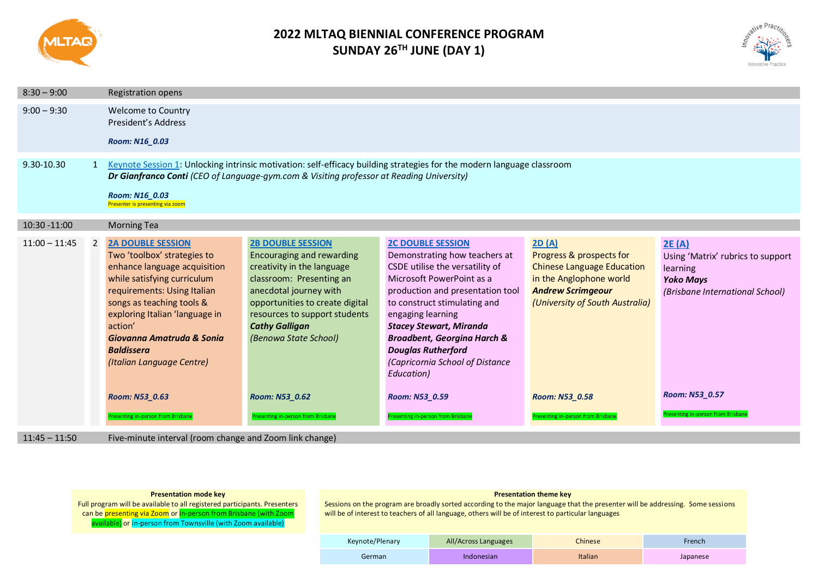

# **2022 MLTAQ BIENNIAL CONFERENCE PROGRAM SUNDAY 26TH JUNE (DAY 1)**



| $8:30 - 9:00$   |   | <b>Registration opens</b>                                                                                                                                                                                                                                                                                                        |                                                                                                                                                                                                                                                                                          |                                                                                                                                                                                                                                                                                                                                                                                                |                                                                                                                                                                                    |                                                                                                                                 |
|-----------------|---|----------------------------------------------------------------------------------------------------------------------------------------------------------------------------------------------------------------------------------------------------------------------------------------------------------------------------------|------------------------------------------------------------------------------------------------------------------------------------------------------------------------------------------------------------------------------------------------------------------------------------------|------------------------------------------------------------------------------------------------------------------------------------------------------------------------------------------------------------------------------------------------------------------------------------------------------------------------------------------------------------------------------------------------|------------------------------------------------------------------------------------------------------------------------------------------------------------------------------------|---------------------------------------------------------------------------------------------------------------------------------|
| $9:00 - 9:30$   |   | <b>Welcome to Country</b><br>President's Address<br>Room: N16 0.03                                                                                                                                                                                                                                                               |                                                                                                                                                                                                                                                                                          |                                                                                                                                                                                                                                                                                                                                                                                                |                                                                                                                                                                                    |                                                                                                                                 |
| 9.30-10.30      |   | Keynote Session 1: Unlocking intrinsic motivation: self-efficacy building strategies for the modern language classroom<br>Dr Gianfranco Conti (CEO of Language-gym.com & Visiting professor at Reading University)<br>Room: N16 0.03<br>Presenter is presenting via zoom                                                         |                                                                                                                                                                                                                                                                                          |                                                                                                                                                                                                                                                                                                                                                                                                |                                                                                                                                                                                    |                                                                                                                                 |
| 10:30 -11:00    |   | <b>Morning Tea</b>                                                                                                                                                                                                                                                                                                               |                                                                                                                                                                                                                                                                                          |                                                                                                                                                                                                                                                                                                                                                                                                |                                                                                                                                                                                    |                                                                                                                                 |
| $11:00 - 11:45$ | 2 | <b>2A DOUBLE SESSION</b><br>Two 'toolbox' strategies to<br>enhance language acquisition<br>while satisfying curriculum<br>requirements: Using Italian<br>songs as teaching tools &<br>exploring Italian 'language in<br>action'<br>Giovanna Amatruda & Sonia<br><b>Baldissera</b><br>(Italian Language Centre)<br>Room: N53 0.63 | <b>2B DOUBLE SESSION</b><br><b>Encouraging and rewarding</b><br>creativity in the language<br>classroom: Presenting an<br>anecdotal journey with<br>opportunities to create digital<br>resources to support students<br><b>Cathy Galligan</b><br>(Benowa State School)<br>Room: N53_0.62 | <b>2C DOUBLE SESSION</b><br>Demonstrating how teachers at<br>CSDE utilise the versatility of<br>Microsoft PowerPoint as a<br>production and presentation tool<br>to construct stimulating and<br>engaging learning<br><b>Stacey Stewart, Miranda</b><br><b>Broadbent, Georgina Harch &amp;</b><br><b>Douglas Rutherford</b><br>(Capricornia School of Distance<br>Education)<br>Room: N53_0.59 | 2D(A)<br>Progress & prospects for<br><b>Chinese Language Education</b><br>in the Anglophone world<br><b>Andrew Scrimgeour</b><br>(University of South Australia)<br>Room: N53 0.58 | 2E(A)<br>Using 'Matrix' rubrics to support<br>learning<br><b>Yoko Mays</b><br>(Brisbane International School)<br>Room: N53_0.57 |
|                 |   | <b>Presenting in-person from Brisbane</b>                                                                                                                                                                                                                                                                                        | <b>Presenting in-person from Brisbane</b>                                                                                                                                                                                                                                                | <b>Presenting in-person from Brisbane</b>                                                                                                                                                                                                                                                                                                                                                      | Presenting in-person from Brisbane                                                                                                                                                 | resenting in-person from Brisbane                                                                                               |

11:45 – 11:50 Five-minute interval (room change and Zoom link change)

| <b>Presentation mode key</b> |  |  |
|------------------------------|--|--|
|------------------------------|--|--|

Full program will be available to all registered participants. Presenters can be presenting via Zoom or in-person from Brisbane (with Zoom available) or in-person from Townsville (with Zoom available)

## **Presentation theme key**

| Keynote/Plenary | All/Across Languages | <b>Chinese</b> | French   |
|-----------------|----------------------|----------------|----------|
| German          | Indonesian           | Italian        | Japanese |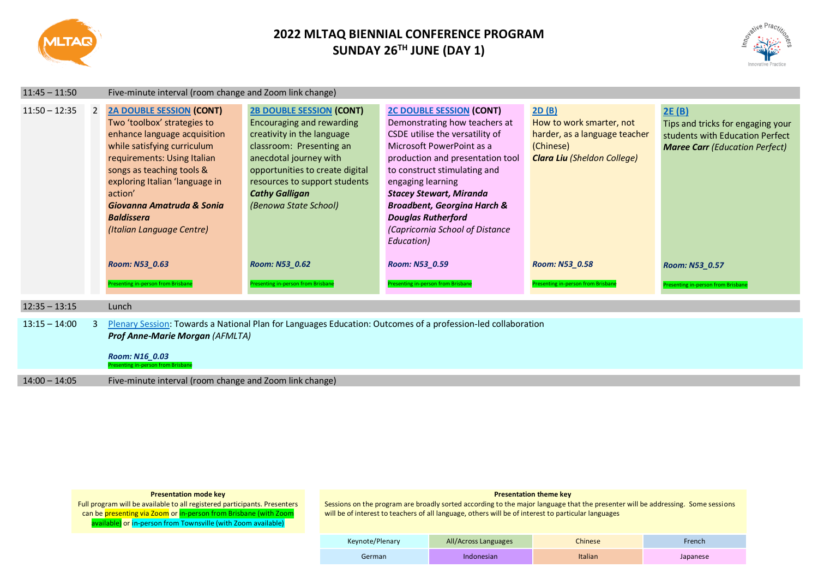

# **2022 MLTAQ BIENNIAL CONFERENCE PROGRAM SUNDAY 26TH JUNE (DAY 1)**



| $11:45 - 11:50$ |   | Five-minute interval (room change and Zoom link change)                                                                                                                                                                                                                                                                                                                       |                                                                                                                                                                                                                                                                                                                                      |                                                                                                                                                                                                                                                                                                                                                                                                                                             |                                                                                                                                                                               |                                                                                                                                                                                       |
|-----------------|---|-------------------------------------------------------------------------------------------------------------------------------------------------------------------------------------------------------------------------------------------------------------------------------------------------------------------------------------------------------------------------------|--------------------------------------------------------------------------------------------------------------------------------------------------------------------------------------------------------------------------------------------------------------------------------------------------------------------------------------|---------------------------------------------------------------------------------------------------------------------------------------------------------------------------------------------------------------------------------------------------------------------------------------------------------------------------------------------------------------------------------------------------------------------------------------------|-------------------------------------------------------------------------------------------------------------------------------------------------------------------------------|---------------------------------------------------------------------------------------------------------------------------------------------------------------------------------------|
| $11:50 - 12:35$ | 2 | <b>2A DOUBLE SESSION (CONT)</b><br>Two 'toolbox' strategies to<br>enhance language acquisition<br>while satisfying curriculum<br>requirements: Using Italian<br>songs as teaching tools &<br>exploring Italian 'language in<br>action'<br>Giovanna Amatruda & Sonia<br><b>Baldissera</b><br>(Italian Language Centre)<br>Room: N53 0.63<br>Presenting in-person from Brisbane | <b>2B DOUBLE SESSION (CONT)</b><br><b>Encouraging and rewarding</b><br>creativity in the language<br>classroom: Presenting an<br>anecdotal journey with<br>opportunities to create digital<br>resources to support students<br><b>Cathy Galligan</b><br>(Benowa State School)<br>Room: N53 0.62<br>resenting in-person from Brisbane | <b>2C DOUBLE SESSION (CONT)</b><br>Demonstrating how teachers at<br>CSDE utilise the versatility of<br>Microsoft PowerPoint as a<br>production and presentation tool<br>to construct stimulating and<br>engaging learning<br><b>Stacey Stewart, Miranda</b><br><b>Broadbent, Georgina Harch &amp;</b><br><b>Douglas Rutherford</b><br>(Capricornia School of Distance<br>Education)<br>Room: N53_0.59<br>Presenting in-person from Brisbane | 2D(B)<br>How to work smarter, not<br>harder, as a language teacher<br>(Chinese)<br><b>Clara Liu (Sheldon College)</b><br>Room: N53 0.58<br>Presenting in-person from Brisbane | 2E(B)<br>Tips and tricks for engaging your<br>students with Education Perfect<br><b>Maree Carr</b> (Education Perfect)<br>Room: N53_0.57<br><b>Presenting in-person from Brisbane</b> |
|                 |   |                                                                                                                                                                                                                                                                                                                                                                               |                                                                                                                                                                                                                                                                                                                                      |                                                                                                                                                                                                                                                                                                                                                                                                                                             |                                                                                                                                                                               |                                                                                                                                                                                       |
| $12:35 - 13:15$ |   | Lunch                                                                                                                                                                                                                                                                                                                                                                         |                                                                                                                                                                                                                                                                                                                                      |                                                                                                                                                                                                                                                                                                                                                                                                                                             |                                                                                                                                                                               |                                                                                                                                                                                       |
| $13:15 - 14:00$ | 3 | Plenary Session: Towards a National Plan for Languages Education: Outcomes of a profession-led collaboration<br><b>Prof Anne-Marie Morgan (AFMLTA)</b><br>Room: N16 0.03<br>Presenting in-person from Brisbane                                                                                                                                                                |                                                                                                                                                                                                                                                                                                                                      |                                                                                                                                                                                                                                                                                                                                                                                                                                             |                                                                                                                                                                               |                                                                                                                                                                                       |
| $14:00 - 14:05$ |   | Five-minute interval (room change and Zoom link change)                                                                                                                                                                                                                                                                                                                       |                                                                                                                                                                                                                                                                                                                                      |                                                                                                                                                                                                                                                                                                                                                                                                                                             |                                                                                                                                                                               |                                                                                                                                                                                       |

### **Presentation mode key**

Full program will be available to all registered participants. Presenters can be presenting via Zoom or in-person from Brisbane (with Zoom available) or in-person from Townsville (with Zoom available)

#### **Presentation theme key**

| Keynote/Plenary | All/Across Languages | Chinese | French   |
|-----------------|----------------------|---------|----------|
| German          | Indonesian           | Italian | Japanese |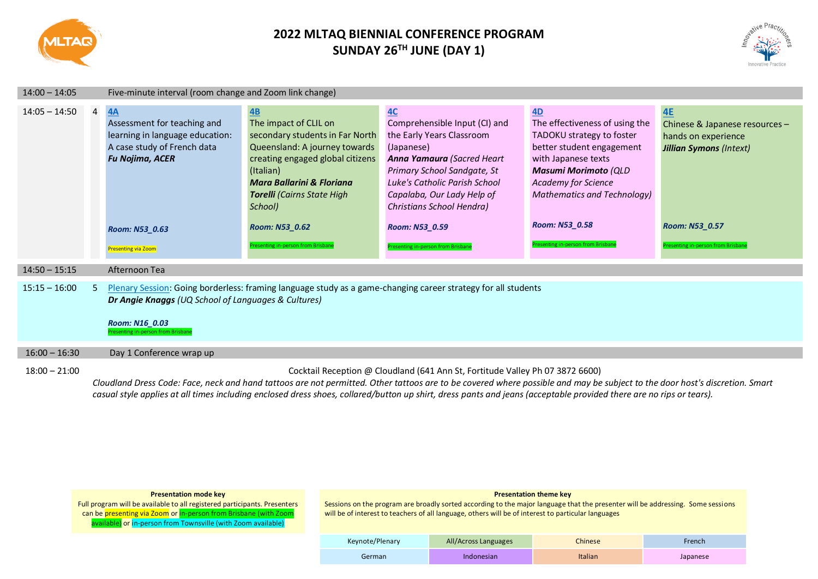

# **2022 MLTAQ BIENNIAL CONFERENCE PROGRAM SUNDAY 26TH JUNE (DAY 1)**



| $14:00 - 14:05$ |     | Five-minute interval (room change and Zoom link change)                                                                                                                       |                                                                                                                                                                                                                                                                                                               |                                                                                                                                                                                                                                                                                                 |                                                                                                                                                                                                                                                                                  |                                                                                                                                                              |
|-----------------|-----|-------------------------------------------------------------------------------------------------------------------------------------------------------------------------------|---------------------------------------------------------------------------------------------------------------------------------------------------------------------------------------------------------------------------------------------------------------------------------------------------------------|-------------------------------------------------------------------------------------------------------------------------------------------------------------------------------------------------------------------------------------------------------------------------------------------------|----------------------------------------------------------------------------------------------------------------------------------------------------------------------------------------------------------------------------------------------------------------------------------|--------------------------------------------------------------------------------------------------------------------------------------------------------------|
| $14:05 - 14:50$ | 4   | 4A<br>Assessment for teaching and<br>learning in language education:<br>A case study of French data<br><b>Fu Nojima, ACER</b><br>Room: N53_0.63<br><b>Presenting via Zoom</b> | $\underline{AB}$<br>The impact of CLIL on<br>secondary students in Far North<br>Queensland: A journey towards<br>creating engaged global citizens<br>(Italian)<br><b>Mara Ballarini &amp; Floriana</b><br><b>Torelli</b> (Cairns State High<br>School)<br>Room: N53_0.62<br>resenting in-person from Brisbane | 4C<br>Comprehensible Input (CI) and<br>the Early Years Classroom<br>(Japanese)<br>Anna Yamaura (Sacred Heart<br>Primary School Sandgate, St<br>Luke's Catholic Parish School<br>Capalaba, Our Lady Help of<br>Christians School Hendra)<br>Room: N53_0.59<br>Presenting in-person from Brisbane | 4D<br>The effectiveness of using the<br>TADOKU strategy to foster<br>better student engagement<br>with Japanese texts<br><b>Masumi Morimoto (QLD</b><br><b>Academy for Science</b><br><b>Mathematics and Technology)</b><br>Room: N53_0.58<br>Presenting in-person from Brisbane | <b>4E</b><br>Chinese & Japanese resources -<br>hands on experience<br><b>Jillian Symons (Intext)</b><br>Room: N53 0.57<br>Presenting in-person from Brisbane |
| $14:50 - 15:15$ |     | Afternoon Tea                                                                                                                                                                 |                                                                                                                                                                                                                                                                                                               |                                                                                                                                                                                                                                                                                                 |                                                                                                                                                                                                                                                                                  |                                                                                                                                                              |
| $15:15 - 16:00$ | .5. | Dr Angie Knaggs (UQ School of Languages & Cultures)<br>Room: N16_0.03<br>Presenting in-person from Brisban                                                                    |                                                                                                                                                                                                                                                                                                               | Plenary Session: Going borderless: framing language study as a game-changing career strategy for all students                                                                                                                                                                                   |                                                                                                                                                                                                                                                                                  |                                                                                                                                                              |
| $16:00 - 16:30$ |     | Day 1 Conference wrap up                                                                                                                                                      |                                                                                                                                                                                                                                                                                                               |                                                                                                                                                                                                                                                                                                 |                                                                                                                                                                                                                                                                                  |                                                                                                                                                              |
| $18:00 - 21:00$ |     |                                                                                                                                                                               |                                                                                                                                                                                                                                                                                                               | Cocktail Reception @ Cloudland (641 Ann St, Fortitude Valley Ph 07 3872 6600)<br>Cloudland Dress Code: Face, neck and hand tattoos are not permitted. Other tattoos are to be covered where possible and may be subject to the door host's discretion. Smart                                    |                                                                                                                                                                                                                                                                                  |                                                                                                                                                              |

*casual style applies at all times including enclosed dress shoes, collared/button up shirt, dress pants and jeans (acceptable provided there are no rips or tears).*

| <b>Presentation mode key</b> |  |
|------------------------------|--|
|------------------------------|--|

## Full program will be available to all registered participants. Presenters can be presenting via Zoom or in-person from Brisbane (with Zoom available) or in-person from Townsville (with Zoom available)

#### **Presentation theme key**

| Keynote/Plenary | All/Across Languages | Chinese | French   |
|-----------------|----------------------|---------|----------|
| German          | Indonesian           | Italian | Japanese |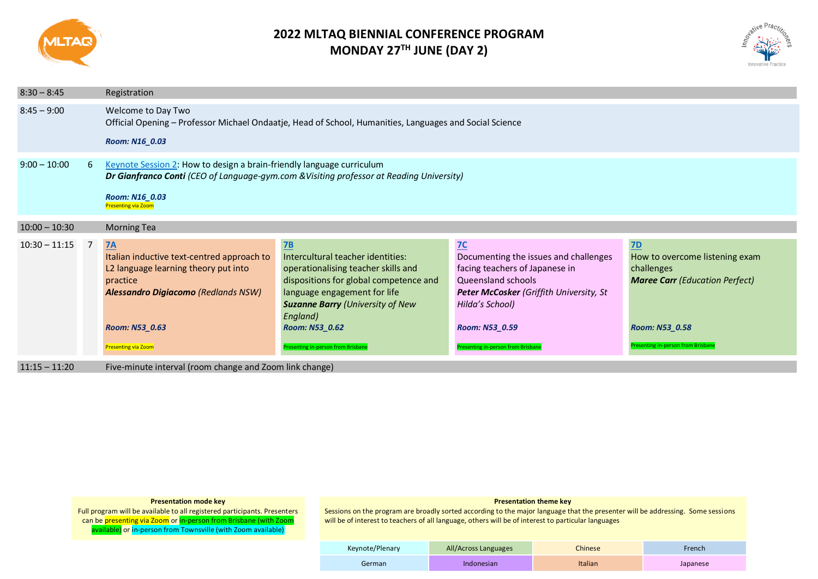

# **2022 MLTAQ BIENNIAL CONFERENCE PROGRAM MONDAY 27TH JUNE (DAY 2)**



| $8:30 - 8:45$   |   | Registration                                                                                                                                                                                                      |                                                                                                                                                                                                                                                                       |                                                                                                                                                                                                                           |                                                                                                                                                                   |  |
|-----------------|---|-------------------------------------------------------------------------------------------------------------------------------------------------------------------------------------------------------------------|-----------------------------------------------------------------------------------------------------------------------------------------------------------------------------------------------------------------------------------------------------------------------|---------------------------------------------------------------------------------------------------------------------------------------------------------------------------------------------------------------------------|-------------------------------------------------------------------------------------------------------------------------------------------------------------------|--|
| $8:45 - 9:00$   |   | Welcome to Day Two<br>Official Opening - Professor Michael Ondaatje, Head of School, Humanities, Languages and Social Science<br>Room: N16_0.03                                                                   |                                                                                                                                                                                                                                                                       |                                                                                                                                                                                                                           |                                                                                                                                                                   |  |
| $9:00 - 10:00$  | 6 | Keynote Session 2: How to design a brain-friendly language curriculum<br>Dr Gianfranco Conti (CEO of Language-gym.com & Visiting professor at Reading University)<br>Room: N16_0.03<br><b>Presenting via Zoom</b> |                                                                                                                                                                                                                                                                       |                                                                                                                                                                                                                           |                                                                                                                                                                   |  |
| $10:00 - 10:30$ |   | <b>Morning Tea</b>                                                                                                                                                                                                |                                                                                                                                                                                                                                                                       |                                                                                                                                                                                                                           |                                                                                                                                                                   |  |
| $10:30 - 11:15$ | 7 | <b>7A</b><br>Italian inductive text-centred approach to<br>L2 language learning theory put into<br>practice<br><b>Alessandro Digiacomo (Redlands NSW)</b><br>Room: N53_0.63<br><b>Presenting via Zoom</b>         | 7B<br>Intercultural teacher identities:<br>operationalising teacher skills and<br>dispositions for global competence and<br>language engagement for life<br><b>Suzanne Barry (University of New</b><br>England)<br>Room: N53_0.62<br>esenting in-person from Brisbane | 7C<br>Documenting the issues and challenges<br>facing teachers of Japanese in<br>Queensland schools<br>Peter McCosker (Griffith University, St<br>Hilda's School)<br>Room: N53_0.59<br>Presenting in-person from Brisbane | <b>7D</b><br>How to overcome listening exam<br>challenges<br><b>Maree Carr</b> (Education Perfect)<br>Room: N53_0.58<br><b>Presenting in-person from Brisbane</b> |  |

11:15 – 11:20 Five-minute interval (room change and Zoom link change)

#### **Presentation mode key**

Full program will be available to all registered participants. Presenters can be <mark>presenting via Zoom</mark> or <mark>in-person from Brisbane (with Zoom</mark> available) or in-person from Townsville (with Zoom available)

## **Presentation theme key**

| Keynote/Plenary | All/Across Languages | <b>Chinese</b> | French   |
|-----------------|----------------------|----------------|----------|
| German          | Indonesian           | <b>Italian</b> | Japanese |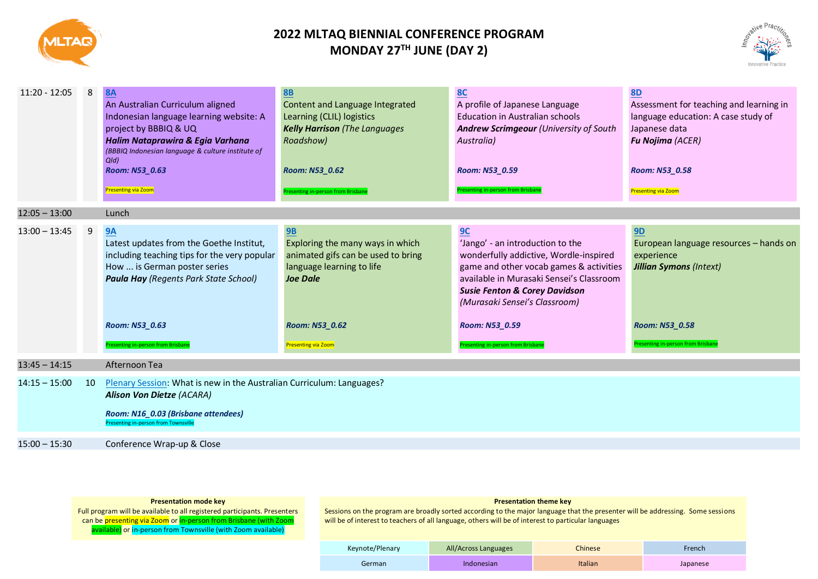

# **2022 MLTAQ BIENNIAL CONFERENCE PROGRAM MONDAY 27TH JUNE (DAY 2)**



| $11:20 - 12:05$ | 8  | <b>8A</b><br>An Australian Curriculum aligned<br>Indonesian language learning website: A<br>project by BBBIQ & UQ<br>Halim Nataprawira & Egia Varhana<br>(BBBIQ Indonesian language & culture institute of<br>$Q$ $\vert d$<br>Room: N53_0.63<br>Presenting via Zoom | <b>8B</b><br>Content and Language Integrated<br>Learning (CLIL) logistics<br><b>Kelly Harrison</b> (The Languages<br>Roadshow)<br>Room: N53_0.62<br>Presenting in-person from Brisbane | <b>8C</b><br>A profile of Japanese Language<br><b>Education in Australian schools</b><br>Andrew Scrimgeour (University of South<br>Australia)<br>Room: N53_0.59<br>Presenting in-person from Brisban                                                                   | <b>8D</b><br>Assessment for teaching and learning in<br>language education: A case study of<br>Japanese data<br><b>Fu Nojima (ACER)</b><br>Room: N53_0.58<br><b>Presenting via Zoom</b> |
|-----------------|----|----------------------------------------------------------------------------------------------------------------------------------------------------------------------------------------------------------------------------------------------------------------------|----------------------------------------------------------------------------------------------------------------------------------------------------------------------------------------|------------------------------------------------------------------------------------------------------------------------------------------------------------------------------------------------------------------------------------------------------------------------|-----------------------------------------------------------------------------------------------------------------------------------------------------------------------------------------|
| $12:05 - 13:00$ |    | Lunch                                                                                                                                                                                                                                                                |                                                                                                                                                                                        |                                                                                                                                                                                                                                                                        |                                                                                                                                                                                         |
| $13:00 - 13:45$ | 9  | <b>9A</b><br>Latest updates from the Goethe Institut,<br>including teaching tips for the very popular<br>How  is German poster series<br><b>Paula Hay</b> (Regents Park State School)<br>Room: N53_0.63                                                              | 9B<br>Exploring the many ways in which<br>animated gifs can be used to bring<br>language learning to life<br><b>Joe Dale</b><br>Room: N53_0.62                                         | 9C<br>'Jango' - an introduction to the<br>wonderfully addictive, Wordle-inspired<br>game and other vocab games & activities<br>available in Murasaki Sensei's Classroom<br><b>Susie Fenton &amp; Corey Davidson</b><br>(Murasaki Sensei's Classroom)<br>Room: N53_0.59 | <b>9D</b><br>European language resources - hands on<br>experience<br><b>Jillian Symons (Intext)</b><br>Room: N53_0.58                                                                   |
|                 |    | resenting in-person from Brisbane                                                                                                                                                                                                                                    | <b>Presenting via Zoom</b>                                                                                                                                                             | resenting in-person from Brisbane                                                                                                                                                                                                                                      | Presenting in-person from Brisbane                                                                                                                                                      |
| $13:45 - 14:15$ |    | Afternoon Tea                                                                                                                                                                                                                                                        |                                                                                                                                                                                        |                                                                                                                                                                                                                                                                        |                                                                                                                                                                                         |
| $14:15 - 15:00$ | 10 | Plenary Session: What is new in the Australian Curriculum: Languages?<br><b>Alison Von Dietze (ACARA)</b><br>Room: N16_0.03 (Brisbane attendees)<br>Presenting in-person from Townsville                                                                             |                                                                                                                                                                                        |                                                                                                                                                                                                                                                                        |                                                                                                                                                                                         |
| $15:00 - 15:30$ |    | Conference Wrap-up & Close                                                                                                                                                                                                                                           |                                                                                                                                                                                        |                                                                                                                                                                                                                                                                        |                                                                                                                                                                                         |

#### **Presentation mode key**

Full program will be available to all registered participants. Presenters can be <mark>presenting via Zoom</mark> or <mark>in-person from Brisbane (with Zoom</mark> available) or in-person from Townsville (with Zoom available)

#### **Presentation theme key**

| Keynote/Plenary | All/Across Languages | Chinese        | French   |
|-----------------|----------------------|----------------|----------|
| German          | Indonesian           | <b>Italian</b> | Japanese |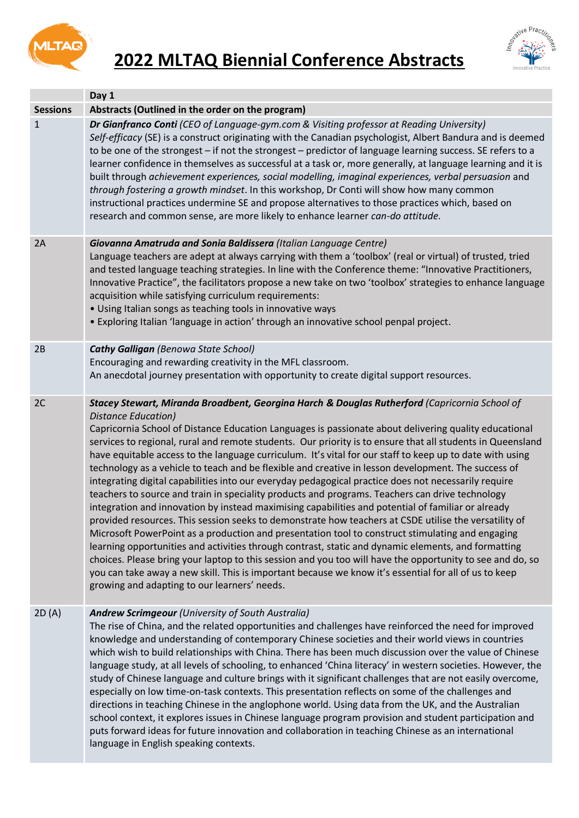

# <span id="page-5-0"></span>**2022 MLTAQ Biennial Conference Abstracts**



<span id="page-5-2"></span><span id="page-5-1"></span>

|                 | Day 1                                                                                                                                                                                                                                                                                                                                                                                                                                                                                                                                                                                                                                                                                                                                                                                                                                                                                                                                                                                                                                                                                                                                                                                                                                                                                                                                                                                                                                                                     |
|-----------------|---------------------------------------------------------------------------------------------------------------------------------------------------------------------------------------------------------------------------------------------------------------------------------------------------------------------------------------------------------------------------------------------------------------------------------------------------------------------------------------------------------------------------------------------------------------------------------------------------------------------------------------------------------------------------------------------------------------------------------------------------------------------------------------------------------------------------------------------------------------------------------------------------------------------------------------------------------------------------------------------------------------------------------------------------------------------------------------------------------------------------------------------------------------------------------------------------------------------------------------------------------------------------------------------------------------------------------------------------------------------------------------------------------------------------------------------------------------------------|
| <b>Sessions</b> | Abstracts (Outlined in the order on the program)                                                                                                                                                                                                                                                                                                                                                                                                                                                                                                                                                                                                                                                                                                                                                                                                                                                                                                                                                                                                                                                                                                                                                                                                                                                                                                                                                                                                                          |
| $\mathbf{1}$    | Dr Gianfranco Conti (CEO of Language-gym.com & Visiting professor at Reading University)<br>Self-efficacy (SE) is a construct originating with the Canadian psychologist, Albert Bandura and is deemed<br>to be one of the strongest - if not the strongest - predictor of language learning success. SE refers to a<br>learner confidence in themselves as successful at a task or, more generally, at language learning and it is<br>built through achievement experiences, social modelling, imaginal experiences, verbal persuasion and<br>through fostering a growth mindset. In this workshop, Dr Conti will show how many common<br>instructional practices undermine SE and propose alternatives to those practices which, based on<br>research and common sense, are more likely to enhance learner can-do attitude.                                                                                                                                                                                                                                                                                                                                                                                                                                                                                                                                                                                                                                             |
| 2A              | Giovanna Amatruda and Sonia Baldissera (Italian Language Centre)<br>Language teachers are adept at always carrying with them a 'toolbox' (real or virtual) of trusted, tried<br>and tested language teaching strategies. In line with the Conference theme: "Innovative Practitioners,<br>Innovative Practice", the facilitators propose a new take on two 'toolbox' strategies to enhance language<br>acquisition while satisfying curriculum requirements:<br>• Using Italian songs as teaching tools in innovative ways<br>. Exploring Italian 'language in action' through an innovative school penpal project.                                                                                                                                                                                                                                                                                                                                                                                                                                                                                                                                                                                                                                                                                                                                                                                                                                                       |
| 2B              | <b>Cathy Galligan</b> (Benowa State School)<br>Encouraging and rewarding creativity in the MFL classroom.<br>An anecdotal journey presentation with opportunity to create digital support resources.                                                                                                                                                                                                                                                                                                                                                                                                                                                                                                                                                                                                                                                                                                                                                                                                                                                                                                                                                                                                                                                                                                                                                                                                                                                                      |
| 2C              | Stacey Stewart, Miranda Broadbent, Georgina Harch & Douglas Rutherford (Capricornia School of<br>Distance Education)<br>Capricornia School of Distance Education Languages is passionate about delivering quality educational<br>services to regional, rural and remote students. Our priority is to ensure that all students in Queensland<br>have equitable access to the language curriculum. It's vital for our staff to keep up to date with using<br>technology as a vehicle to teach and be flexible and creative in lesson development. The success of<br>integrating digital capabilities into our everyday pedagogical practice does not necessarily require<br>teachers to source and train in speciality products and programs. Teachers can drive technology<br>integration and innovation by instead maximising capabilities and potential of familiar or already<br>provided resources. This session seeks to demonstrate how teachers at CSDE utilise the versatility of<br>Microsoft PowerPoint as a production and presentation tool to construct stimulating and engaging<br>learning opportunities and activities through contrast, static and dynamic elements, and formatting<br>choices. Please bring your laptop to this session and you too will have the opportunity to see and do, so<br>you can take away a new skill. This is important because we know it's essential for all of us to keep<br>growing and adapting to our learners' needs. |
| 2D(A)           | <b>Andrew Scrimgeour (University of South Australia)</b><br>The rise of China, and the related opportunities and challenges have reinforced the need for improved<br>knowledge and understanding of contemporary Chinese societies and their world views in countries<br>which wish to build relationships with China. There has been much discussion over the value of Chinese<br>language study, at all levels of schooling, to enhanced 'China literacy' in western societies. However, the<br>study of Chinese language and culture brings with it significant challenges that are not easily overcome,<br>especially on low time-on-task contexts. This presentation reflects on some of the challenges and<br>directions in teaching Chinese in the anglophone world. Using data from the UK, and the Australian<br>school context, it explores issues in Chinese language program provision and student participation and<br>puts forward ideas for future innovation and collaboration in teaching Chinese as an international<br>language in English speaking contexts.                                                                                                                                                                                                                                                                                                                                                                                          |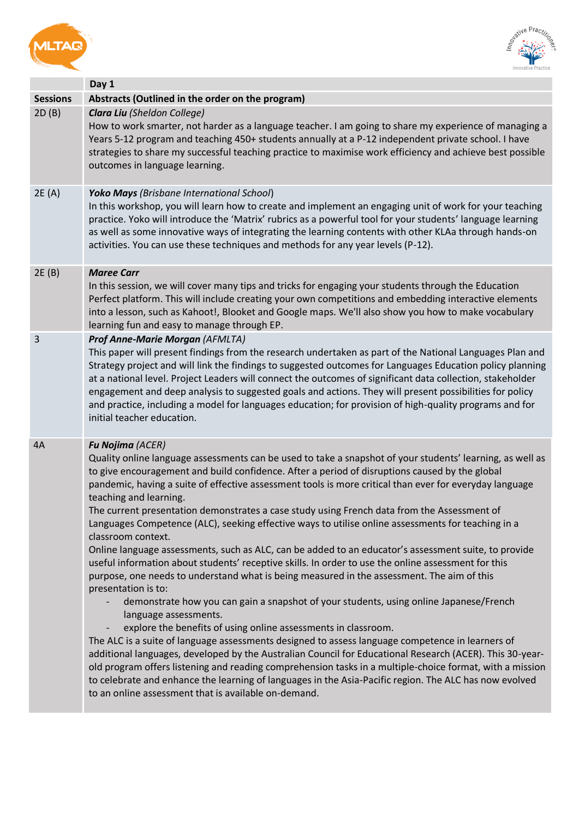<span id="page-6-2"></span><span id="page-6-1"></span><span id="page-6-0"></span>



<span id="page-6-4"></span><span id="page-6-3"></span>

|                 | Day 1                                                                                                                                                                                                                                                                                                                                                                                                                                                                                                                                                                                                                                                                                                                                                                                                                                                                                                                                                                                                                                                                                                                                                                                                                                                                                                                                                                                                                                                                                                                                                                                                                         |
|-----------------|-------------------------------------------------------------------------------------------------------------------------------------------------------------------------------------------------------------------------------------------------------------------------------------------------------------------------------------------------------------------------------------------------------------------------------------------------------------------------------------------------------------------------------------------------------------------------------------------------------------------------------------------------------------------------------------------------------------------------------------------------------------------------------------------------------------------------------------------------------------------------------------------------------------------------------------------------------------------------------------------------------------------------------------------------------------------------------------------------------------------------------------------------------------------------------------------------------------------------------------------------------------------------------------------------------------------------------------------------------------------------------------------------------------------------------------------------------------------------------------------------------------------------------------------------------------------------------------------------------------------------------|
| <b>Sessions</b> | Abstracts (Outlined in the order on the program)                                                                                                                                                                                                                                                                                                                                                                                                                                                                                                                                                                                                                                                                                                                                                                                                                                                                                                                                                                                                                                                                                                                                                                                                                                                                                                                                                                                                                                                                                                                                                                              |
| 2D(B)           | <b>Clara Liu</b> (Sheldon College)<br>How to work smarter, not harder as a language teacher. I am going to share my experience of managing a<br>Years 5-12 program and teaching 450+ students annually at a P-12 independent private school. I have<br>strategies to share my successful teaching practice to maximise work efficiency and achieve best possible<br>outcomes in language learning.                                                                                                                                                                                                                                                                                                                                                                                                                                                                                                                                                                                                                                                                                                                                                                                                                                                                                                                                                                                                                                                                                                                                                                                                                            |
| 2E(A)           | <b>Yoko Mays</b> (Brisbane International School)<br>In this workshop, you will learn how to create and implement an engaging unit of work for your teaching<br>practice. Yoko will introduce the 'Matrix' rubrics as a powerful tool for your students' language learning<br>as well as some innovative ways of integrating the learning contents with other KLAa through hands-on<br>activities. You can use these techniques and methods for any year levels (P-12).                                                                                                                                                                                                                                                                                                                                                                                                                                                                                                                                                                                                                                                                                                                                                                                                                                                                                                                                                                                                                                                                                                                                                        |
| 2E(B)           | <b>Maree Carr</b><br>In this session, we will cover many tips and tricks for engaging your students through the Education<br>Perfect platform. This will include creating your own competitions and embedding interactive elements<br>into a lesson, such as Kahoot!, Blooket and Google maps. We'll also show you how to make vocabulary<br>learning fun and easy to manage through EP.                                                                                                                                                                                                                                                                                                                                                                                                                                                                                                                                                                                                                                                                                                                                                                                                                                                                                                                                                                                                                                                                                                                                                                                                                                      |
| 3               | Prof Anne-Marie Morgan (AFMLTA)<br>This paper will present findings from the research undertaken as part of the National Languages Plan and<br>Strategy project and will link the findings to suggested outcomes for Languages Education policy planning<br>at a national level. Project Leaders will connect the outcomes of significant data collection, stakeholder<br>engagement and deep analysis to suggested goals and actions. They will present possibilities for policy<br>and practice, including a model for languages education; for provision of high-quality programs and for<br>initial teacher education.                                                                                                                                                                                                                                                                                                                                                                                                                                                                                                                                                                                                                                                                                                                                                                                                                                                                                                                                                                                                    |
| 4A              | <b>Fu Nojima (ACER)</b><br>Quality online language assessments can be used to take a snapshot of your students' learning, as well as<br>to give encouragement and build confidence. After a period of disruptions caused by the global<br>pandemic, having a suite of effective assessment tools is more critical than ever for everyday language<br>teaching and learning.<br>The current presentation demonstrates a case study using French data from the Assessment of<br>Languages Competence (ALC), seeking effective ways to utilise online assessments for teaching in a<br>classroom context.<br>Online language assessments, such as ALC, can be added to an educator's assessment suite, to provide<br>useful information about students' receptive skills. In order to use the online assessment for this<br>purpose, one needs to understand what is being measured in the assessment. The aim of this<br>presentation is to:<br>demonstrate how you can gain a snapshot of your students, using online Japanese/French<br>language assessments.<br>explore the benefits of using online assessments in classroom.<br>The ALC is a suite of language assessments designed to assess language competence in learners of<br>additional languages, developed by the Australian Council for Educational Research (ACER). This 30-year-<br>old program offers listening and reading comprehension tasks in a multiple-choice format, with a mission<br>to celebrate and enhance the learning of languages in the Asia-Pacific region. The ALC has now evolved<br>to an online assessment that is available on-demand. |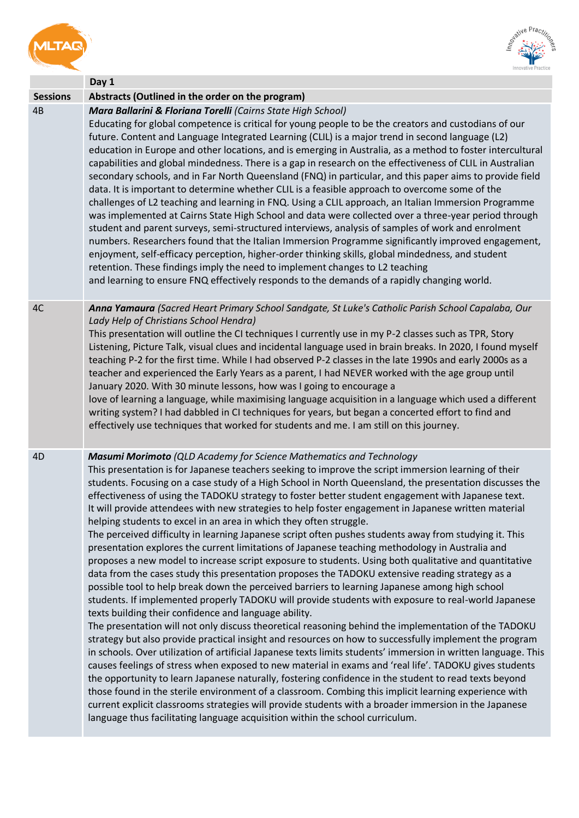<span id="page-7-0"></span>



<span id="page-7-3"></span><span id="page-7-2"></span><span id="page-7-1"></span>

|                 | Day 1                                                                                                                                                                                                                                                                                                                                                                                                                                                                                                                                                                                                                                                                                                                                                                                                                                                                                                                                                                                                                                                                                                                                                                                                                                                                                                                                                                                                                                                                                                                                                                                                                                                                                                                                                                                                                                                                                                                                                                                                                                                                                                                           |
|-----------------|---------------------------------------------------------------------------------------------------------------------------------------------------------------------------------------------------------------------------------------------------------------------------------------------------------------------------------------------------------------------------------------------------------------------------------------------------------------------------------------------------------------------------------------------------------------------------------------------------------------------------------------------------------------------------------------------------------------------------------------------------------------------------------------------------------------------------------------------------------------------------------------------------------------------------------------------------------------------------------------------------------------------------------------------------------------------------------------------------------------------------------------------------------------------------------------------------------------------------------------------------------------------------------------------------------------------------------------------------------------------------------------------------------------------------------------------------------------------------------------------------------------------------------------------------------------------------------------------------------------------------------------------------------------------------------------------------------------------------------------------------------------------------------------------------------------------------------------------------------------------------------------------------------------------------------------------------------------------------------------------------------------------------------------------------------------------------------------------------------------------------------|
| <b>Sessions</b> | Abstracts (Outlined in the order on the program)                                                                                                                                                                                                                                                                                                                                                                                                                                                                                                                                                                                                                                                                                                                                                                                                                                                                                                                                                                                                                                                                                                                                                                                                                                                                                                                                                                                                                                                                                                                                                                                                                                                                                                                                                                                                                                                                                                                                                                                                                                                                                |
| 4B              | Mara Ballarini & Floriana Torelli (Cairns State High School)<br>Educating for global competence is critical for young people to be the creators and custodians of our<br>future. Content and Language Integrated Learning (CLIL) is a major trend in second language (L2)<br>education in Europe and other locations, and is emerging in Australia, as a method to foster intercultural<br>capabilities and global mindedness. There is a gap in research on the effectiveness of CLIL in Australian<br>secondary schools, and in Far North Queensland (FNQ) in particular, and this paper aims to provide field<br>data. It is important to determine whether CLIL is a feasible approach to overcome some of the<br>challenges of L2 teaching and learning in FNQ. Using a CLIL approach, an Italian Immersion Programme<br>was implemented at Cairns State High School and data were collected over a three-year period through<br>student and parent surveys, semi-structured interviews, analysis of samples of work and enrolment<br>numbers. Researchers found that the Italian Immersion Programme significantly improved engagement,<br>enjoyment, self-efficacy perception, higher-order thinking skills, global mindedness, and student<br>retention. These findings imply the need to implement changes to L2 teaching<br>and learning to ensure FNQ effectively responds to the demands of a rapidly changing world.                                                                                                                                                                                                                                                                                                                                                                                                                                                                                                                                                                                                                                                                                               |
| 4C              | Anna Yamaura (Sacred Heart Primary School Sandgate, St Luke's Catholic Parish School Capalaba, Our<br>Lady Help of Christians School Hendra)<br>This presentation will outline the CI techniques I currently use in my P-2 classes such as TPR, Story<br>Listening, Picture Talk, visual clues and incidental language used in brain breaks. In 2020, I found myself<br>teaching P-2 for the first time. While I had observed P-2 classes in the late 1990s and early 2000s as a<br>teacher and experienced the Early Years as a parent, I had NEVER worked with the age group until<br>January 2020. With 30 minute lessons, how was I going to encourage a<br>love of learning a language, while maximising language acquisition in a language which used a different<br>writing system? I had dabbled in CI techniques for years, but began a concerted effort to find and<br>effectively use techniques that worked for students and me. I am still on this journey.                                                                                                                                                                                                                                                                                                                                                                                                                                                                                                                                                                                                                                                                                                                                                                                                                                                                                                                                                                                                                                                                                                                                                        |
| 4D              | Masumi Morimoto (QLD Academy for Science Mathematics and Technology<br>This presentation is for Japanese teachers seeking to improve the script immersion learning of their<br>students. Focusing on a case study of a High School in North Queensland, the presentation discusses the<br>effectiveness of using the TADOKU strategy to foster better student engagement with Japanese text.<br>It will provide attendees with new strategies to help foster engagement in Japanese written material<br>helping students to excel in an area in which they often struggle.<br>The perceived difficulty in learning Japanese script often pushes students away from studying it. This<br>presentation explores the current limitations of Japanese teaching methodology in Australia and<br>proposes a new model to increase script exposure to students. Using both qualitative and quantitative<br>data from the cases study this presentation proposes the TADOKU extensive reading strategy as a<br>possible tool to help break down the perceived barriers to learning Japanese among high school<br>students. If implemented properly TADOKU will provide students with exposure to real-world Japanese<br>texts building their confidence and language ability.<br>The presentation will not only discuss theoretical reasoning behind the implementation of the TADOKU<br>strategy but also provide practical insight and resources on how to successfully implement the program<br>in schools. Over utilization of artificial Japanese texts limits students' immersion in written language. This<br>causes feelings of stress when exposed to new material in exams and 'real life'. TADOKU gives students<br>the opportunity to learn Japanese naturally, fostering confidence in the student to read texts beyond<br>those found in the sterile environment of a classroom. Combing this implicit learning experience with<br>current explicit classrooms strategies will provide students with a broader immersion in the Japanese<br>language thus facilitating language acquisition within the school curriculum. |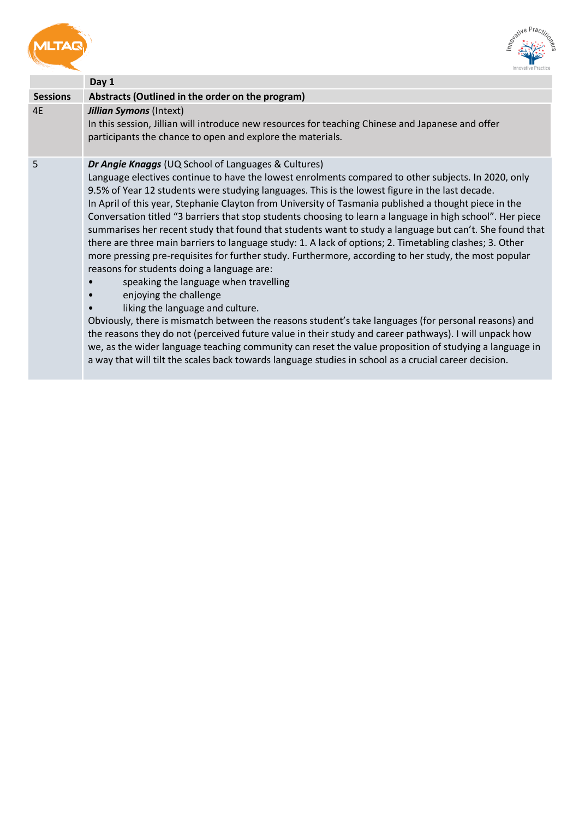<span id="page-8-1"></span><span id="page-8-0"></span>



|                 | Day 1                                                                                                                                                                                                                                                                                                                                                                                                                                                                                                                                                                                                                                                                                                                                                                                                                                                                                                                                                                                                                                                                                                                                                                                                                                                                                                                                                                                                                      |
|-----------------|----------------------------------------------------------------------------------------------------------------------------------------------------------------------------------------------------------------------------------------------------------------------------------------------------------------------------------------------------------------------------------------------------------------------------------------------------------------------------------------------------------------------------------------------------------------------------------------------------------------------------------------------------------------------------------------------------------------------------------------------------------------------------------------------------------------------------------------------------------------------------------------------------------------------------------------------------------------------------------------------------------------------------------------------------------------------------------------------------------------------------------------------------------------------------------------------------------------------------------------------------------------------------------------------------------------------------------------------------------------------------------------------------------------------------|
| <b>Sessions</b> | Abstracts (Outlined in the order on the program)                                                                                                                                                                                                                                                                                                                                                                                                                                                                                                                                                                                                                                                                                                                                                                                                                                                                                                                                                                                                                                                                                                                                                                                                                                                                                                                                                                           |
| 4E              | <b>Jillian Symons (Intext)</b><br>In this session, Jillian will introduce new resources for teaching Chinese and Japanese and offer<br>participants the chance to open and explore the materials.                                                                                                                                                                                                                                                                                                                                                                                                                                                                                                                                                                                                                                                                                                                                                                                                                                                                                                                                                                                                                                                                                                                                                                                                                          |
| 5               | Dr Angie Knaggs (UQ School of Languages & Cultures)<br>Language electives continue to have the lowest enrolments compared to other subjects. In 2020, only<br>9.5% of Year 12 students were studying languages. This is the lowest figure in the last decade.<br>In April of this year, Stephanie Clayton from University of Tasmania published a thought piece in the<br>Conversation titled "3 barriers that stop students choosing to learn a language in high school". Her piece<br>summarises her recent study that found that students want to study a language but can't. She found that<br>there are three main barriers to language study: 1. A lack of options; 2. Timetabling clashes; 3. Other<br>more pressing pre-requisites for further study. Furthermore, according to her study, the most popular<br>reasons for students doing a language are:<br>speaking the language when travelling<br>enjoying the challenge<br>$\bullet$<br>liking the language and culture.<br>Obviously, there is mismatch between the reasons student's take languages (for personal reasons) and<br>the reasons they do not (perceived future value in their study and career pathways). I will unpack how<br>we, as the wider language teaching community can reset the value proposition of studying a language in<br>a way that will tilt the scales back towards language studies in school as a crucial career decision. |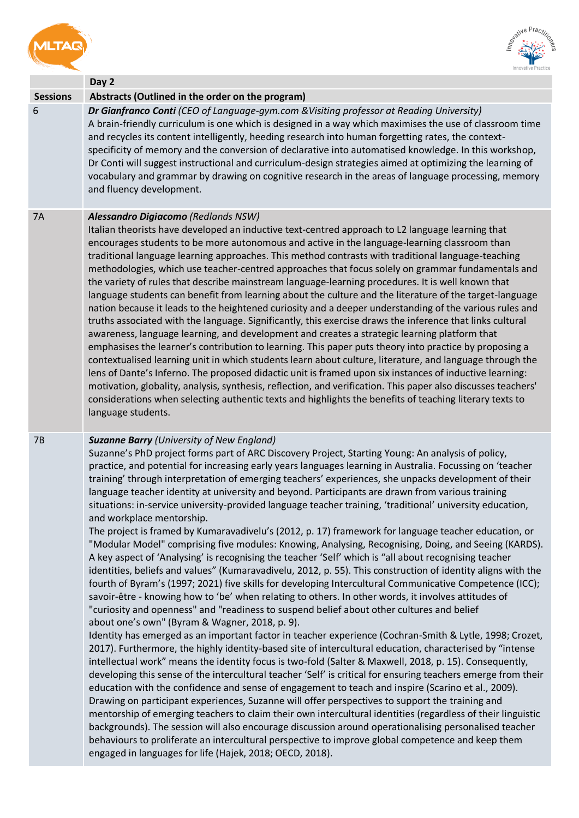<span id="page-9-1"></span><span id="page-9-0"></span>



<span id="page-9-2"></span>

|                 | Day 2                                                                                                                                                                                                                                                                                                                                                                                                                                                                                                                                                                                                                                                                                                                                                                                                                                                                                                                                                                                                                                                                                                                                                                                                                                                                                                                                                                                                                                                                                                                                                                                                                                                                                                                                                                                                                                                                                                                                                                                                                                                                                                                                                                                                                                                                                                                                                                                                                                                                                  |
|-----------------|----------------------------------------------------------------------------------------------------------------------------------------------------------------------------------------------------------------------------------------------------------------------------------------------------------------------------------------------------------------------------------------------------------------------------------------------------------------------------------------------------------------------------------------------------------------------------------------------------------------------------------------------------------------------------------------------------------------------------------------------------------------------------------------------------------------------------------------------------------------------------------------------------------------------------------------------------------------------------------------------------------------------------------------------------------------------------------------------------------------------------------------------------------------------------------------------------------------------------------------------------------------------------------------------------------------------------------------------------------------------------------------------------------------------------------------------------------------------------------------------------------------------------------------------------------------------------------------------------------------------------------------------------------------------------------------------------------------------------------------------------------------------------------------------------------------------------------------------------------------------------------------------------------------------------------------------------------------------------------------------------------------------------------------------------------------------------------------------------------------------------------------------------------------------------------------------------------------------------------------------------------------------------------------------------------------------------------------------------------------------------------------------------------------------------------------------------------------------------------------|
| <b>Sessions</b> | Abstracts (Outlined in the order on the program)                                                                                                                                                                                                                                                                                                                                                                                                                                                                                                                                                                                                                                                                                                                                                                                                                                                                                                                                                                                                                                                                                                                                                                                                                                                                                                                                                                                                                                                                                                                                                                                                                                                                                                                                                                                                                                                                                                                                                                                                                                                                                                                                                                                                                                                                                                                                                                                                                                       |
| 6               | Dr Gianfranco Conti (CEO of Language-gym.com & Visiting professor at Reading University)<br>A brain-friendly curriculum is one which is designed in a way which maximises the use of classroom time<br>and recycles its content intelligently, heeding research into human forgetting rates, the context-<br>specificity of memory and the conversion of declarative into automatised knowledge. In this workshop,<br>Dr Conti will suggest instructional and curriculum-design strategies aimed at optimizing the learning of<br>vocabulary and grammar by drawing on cognitive research in the areas of language processing, memory<br>and fluency development.                                                                                                                                                                                                                                                                                                                                                                                                                                                                                                                                                                                                                                                                                                                                                                                                                                                                                                                                                                                                                                                                                                                                                                                                                                                                                                                                                                                                                                                                                                                                                                                                                                                                                                                                                                                                                      |
| 7A              | Alessandro Digiacomo (Redlands NSW)<br>Italian theorists have developed an inductive text-centred approach to L2 language learning that<br>encourages students to be more autonomous and active in the language-learning classroom than<br>traditional language learning approaches. This method contrasts with traditional language-teaching<br>methodologies, which use teacher-centred approaches that focus solely on grammar fundamentals and<br>the variety of rules that describe mainstream language-learning procedures. It is well known that<br>language students can benefit from learning about the culture and the literature of the target-language<br>nation because it leads to the heightened curiosity and a deeper understanding of the various rules and<br>truths associated with the language. Significantly, this exercise draws the inference that links cultural<br>awareness, language learning, and development and creates a strategic learning platform that<br>emphasises the learner's contribution to learning. This paper puts theory into practice by proposing a<br>contextualised learning unit in which students learn about culture, literature, and language through the<br>lens of Dante's Inferno. The proposed didactic unit is framed upon six instances of inductive learning:<br>motivation, globality, analysis, synthesis, reflection, and verification. This paper also discusses teachers'<br>considerations when selecting authentic texts and highlights the benefits of teaching literary texts to<br>language students.                                                                                                                                                                                                                                                                                                                                                                                                                                                                                                                                                                                                                                                                                                                                                                                                                                                                                                          |
| 7B              | <b>Suzanne Barry (University of New England)</b><br>Suzanne's PhD project forms part of ARC Discovery Project, Starting Young: An analysis of policy,<br>practice, and potential for increasing early years languages learning in Australia. Focussing on 'teacher<br>training' through interpretation of emerging teachers' experiences, she unpacks development of their<br>language teacher identity at university and beyond. Participants are drawn from various training<br>situations: in-service university-provided language teacher training, 'traditional' university education,<br>and workplace mentorship.<br>The project is framed by Kumaravadivelu's (2012, p. 17) framework for language teacher education, or<br>"Modular Model" comprising five modules: Knowing, Analysing, Recognising, Doing, and Seeing (KARDS).<br>A key aspect of 'Analysing' is recognising the teacher 'Self' which is "all about recognising teacher<br>identities, beliefs and values" (Kumaravadivelu, 2012, p. 55). This construction of identity aligns with the<br>fourth of Byram's (1997; 2021) five skills for developing Intercultural Communicative Competence (ICC);<br>savoir-être - knowing how to 'be' when relating to others. In other words, it involves attitudes of<br>"curiosity and openness" and "readiness to suspend belief about other cultures and belief<br>about one's own" (Byram & Wagner, 2018, p. 9).<br>Identity has emerged as an important factor in teacher experience (Cochran-Smith & Lytle, 1998; Crozet,<br>2017). Furthermore, the highly identity-based site of intercultural education, characterised by "intense<br>intellectual work" means the identity focus is two-fold (Salter & Maxwell, 2018, p. 15). Consequently,<br>developing this sense of the intercultural teacher 'Self' is critical for ensuring teachers emerge from their<br>education with the confidence and sense of engagement to teach and inspire (Scarino et al., 2009).<br>Drawing on participant experiences, Suzanne will offer perspectives to support the training and<br>mentorship of emerging teachers to claim their own intercultural identities (regardless of their linguistic<br>backgrounds). The session will also encourage discussion around operationalising personalised teacher<br>behaviours to proliferate an intercultural perspective to improve global competence and keep them<br>engaged in languages for life (Hajek, 2018; OECD, 2018). |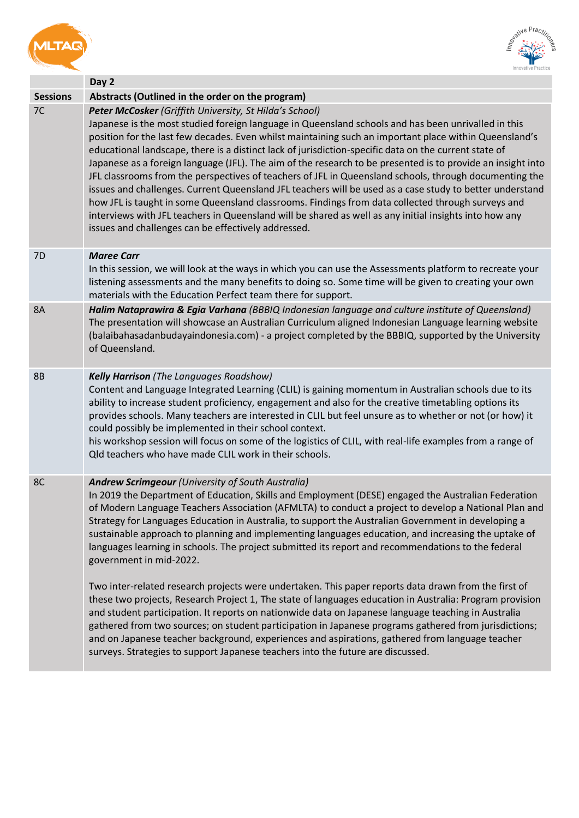<span id="page-10-0"></span>



<span id="page-10-3"></span><span id="page-10-2"></span><span id="page-10-1"></span>

|                 | Day 2                                                                                                                                                                                                                                                                                                                                                                                                                                                                                                                                                                                                                                                                                                                                                                                                                                                                                                                                                                                        |
|-----------------|----------------------------------------------------------------------------------------------------------------------------------------------------------------------------------------------------------------------------------------------------------------------------------------------------------------------------------------------------------------------------------------------------------------------------------------------------------------------------------------------------------------------------------------------------------------------------------------------------------------------------------------------------------------------------------------------------------------------------------------------------------------------------------------------------------------------------------------------------------------------------------------------------------------------------------------------------------------------------------------------|
| <b>Sessions</b> | Abstracts (Outlined in the order on the program)                                                                                                                                                                                                                                                                                                                                                                                                                                                                                                                                                                                                                                                                                                                                                                                                                                                                                                                                             |
| 7C              | Peter McCosker (Griffith University, St Hilda's School)<br>Japanese is the most studied foreign language in Queensland schools and has been unrivalled in this<br>position for the last few decades. Even whilst maintaining such an important place within Queensland's<br>educational landscape, there is a distinct lack of jurisdiction-specific data on the current state of<br>Japanese as a foreign language (JFL). The aim of the research to be presented is to provide an insight into<br>JFL classrooms from the perspectives of teachers of JFL in Queensland schools, through documenting the<br>issues and challenges. Current Queensland JFL teachers will be used as a case study to better understand<br>how JFL is taught in some Queensland classrooms. Findings from data collected through surveys and<br>interviews with JFL teachers in Queensland will be shared as well as any initial insights into how any<br>issues and challenges can be effectively addressed. |
| 7D              | <b>Maree Carr</b><br>In this session, we will look at the ways in which you can use the Assessments platform to recreate your<br>listening assessments and the many benefits to doing so. Some time will be given to creating your own<br>materials with the Education Perfect team there for support.                                                                                                                                                                                                                                                                                                                                                                                                                                                                                                                                                                                                                                                                                       |
| <b>8A</b>       | Halim Nataprawira & Egia Varhana (BBBIQ Indonesian language and culture institute of Queensland)<br>The presentation will showcase an Australian Curriculum aligned Indonesian Language learning website<br>(balaibahasadanbudayaindonesia.com) - a project completed by the BBBIQ, supported by the University<br>of Queensland.                                                                                                                                                                                                                                                                                                                                                                                                                                                                                                                                                                                                                                                            |
| <b>8B</b>       | <b>Kelly Harrison</b> (The Languages Roadshow)<br>Content and Language Integrated Learning (CLIL) is gaining momentum in Australian schools due to its<br>ability to increase student proficiency, engagement and also for the creative timetabling options its<br>provides schools. Many teachers are interested in CLIL but feel unsure as to whether or not (or how) it<br>could possibly be implemented in their school context.<br>his workshop session will focus on some of the logistics of CLIL, with real-life examples from a range of<br>Old teachers who have made CLIL work in their schools.                                                                                                                                                                                                                                                                                                                                                                                  |
| 8C              | Andrew Scrimgeour (University of South Australia)<br>In 2019 the Department of Education, Skills and Employment (DESE) engaged the Australian Federation<br>of Modern Language Teachers Association (AFMLTA) to conduct a project to develop a National Plan and<br>Strategy for Languages Education in Australia, to support the Australian Government in developing a<br>sustainable approach to planning and implementing languages education, and increasing the uptake of<br>languages learning in schools. The project submitted its report and recommendations to the federal<br>government in mid-2022.                                                                                                                                                                                                                                                                                                                                                                              |
|                 | Two inter-related research projects were undertaken. This paper reports data drawn from the first of<br>these two projects, Research Project 1, The state of languages education in Australia: Program provision<br>and student participation. It reports on nationwide data on Japanese language teaching in Australia<br>gathered from two sources; on student participation in Japanese programs gathered from jurisdictions;<br>and on Japanese teacher background, experiences and aspirations, gathered from language teacher<br>surveys. Strategies to support Japanese teachers into the future are discussed.                                                                                                                                                                                                                                                                                                                                                                       |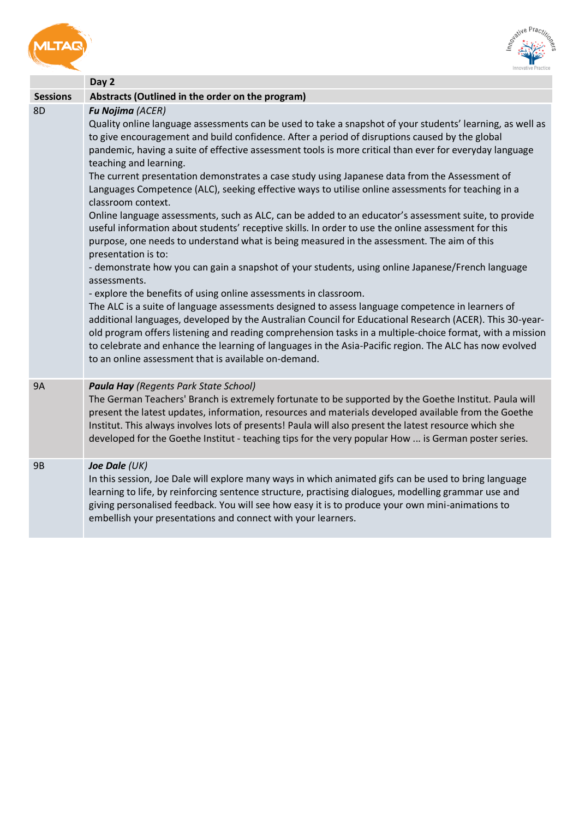<span id="page-11-0"></span>



<span id="page-11-2"></span><span id="page-11-1"></span>

|                 | Day 2                                                                                                                                                                                                                                                                                                                                                                                                                                                                                                                                                                                                                                                                                                                                                                                                                                                                                                                                                                                                                                                                                                                                                                                                                                                                                                                                                                                                                                                                                                                                                                                                                        |
|-----------------|------------------------------------------------------------------------------------------------------------------------------------------------------------------------------------------------------------------------------------------------------------------------------------------------------------------------------------------------------------------------------------------------------------------------------------------------------------------------------------------------------------------------------------------------------------------------------------------------------------------------------------------------------------------------------------------------------------------------------------------------------------------------------------------------------------------------------------------------------------------------------------------------------------------------------------------------------------------------------------------------------------------------------------------------------------------------------------------------------------------------------------------------------------------------------------------------------------------------------------------------------------------------------------------------------------------------------------------------------------------------------------------------------------------------------------------------------------------------------------------------------------------------------------------------------------------------------------------------------------------------------|
| <b>Sessions</b> | Abstracts (Outlined in the order on the program)                                                                                                                                                                                                                                                                                                                                                                                                                                                                                                                                                                                                                                                                                                                                                                                                                                                                                                                                                                                                                                                                                                                                                                                                                                                                                                                                                                                                                                                                                                                                                                             |
| 8D              | Fu Nojima (ACER)<br>Quality online language assessments can be used to take a snapshot of your students' learning, as well as<br>to give encouragement and build confidence. After a period of disruptions caused by the global<br>pandemic, having a suite of effective assessment tools is more critical than ever for everyday language<br>teaching and learning.<br>The current presentation demonstrates a case study using Japanese data from the Assessment of<br>Languages Competence (ALC), seeking effective ways to utilise online assessments for teaching in a<br>classroom context.<br>Online language assessments, such as ALC, can be added to an educator's assessment suite, to provide<br>useful information about students' receptive skills. In order to use the online assessment for this<br>purpose, one needs to understand what is being measured in the assessment. The aim of this<br>presentation is to:<br>- demonstrate how you can gain a snapshot of your students, using online Japanese/French language<br>assessments.<br>- explore the benefits of using online assessments in classroom.<br>The ALC is a suite of language assessments designed to assess language competence in learners of<br>additional languages, developed by the Australian Council for Educational Research (ACER). This 30-year-<br>old program offers listening and reading comprehension tasks in a multiple-choice format, with a mission<br>to celebrate and enhance the learning of languages in the Asia-Pacific region. The ALC has now evolved<br>to an online assessment that is available on-demand. |
| <b>9A</b>       | <b>Paula Hay</b> (Regents Park State School)<br>The German Teachers' Branch is extremely fortunate to be supported by the Goethe Institut. Paula will<br>present the latest updates, information, resources and materials developed available from the Goethe<br>Institut. This always involves lots of presents! Paula will also present the latest resource which she<br>developed for the Goethe Institut - teaching tips for the very popular How  is German poster series.                                                                                                                                                                                                                                                                                                                                                                                                                                                                                                                                                                                                                                                                                                                                                                                                                                                                                                                                                                                                                                                                                                                                              |
| <b>9B</b>       | Joe Dale (UK)<br>In this session, Joe Dale will explore many ways in which animated gifs can be used to bring language<br>learning to life, by reinforcing sentence structure, practising dialogues, modelling grammar use and<br>giving personalised feedback. You will see how easy it is to produce your own mini-animations to<br>embellish your presentations and connect with your learners.                                                                                                                                                                                                                                                                                                                                                                                                                                                                                                                                                                                                                                                                                                                                                                                                                                                                                                                                                                                                                                                                                                                                                                                                                           |